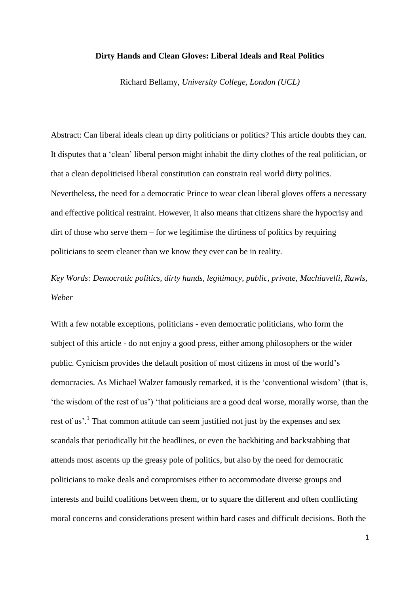#### **Dirty Hands and Clean Gloves: Liberal Ideals and Real Politics**

Richard Bellamy, *University College, London (UCL)*

Abstract: Can liberal ideals clean up dirty politicians or politics? This article doubts they can. It disputes that a 'clean' liberal person might inhabit the dirty clothes of the real politician, or that a clean depoliticised liberal constitution can constrain real world dirty politics. Nevertheless, the need for a democratic Prince to wear clean liberal gloves offers a necessary and effective political restraint. However, it also means that citizens share the hypocrisy and dirt of those who serve them – for we legitimise the dirtiness of politics by requiring politicians to seem cleaner than we know they ever can be in reality.

# *Key Words: Democratic politics, dirty hands, legitimacy, public, private, Machiavelli, Rawls, Weber*

With a few notable exceptions, politicians - even democratic politicians, who form the subject of this article - do not enjoy a good press, either among philosophers or the wider public. Cynicism provides the default position of most citizens in most of the world's democracies. As Michael Walzer famously remarked, it is the 'conventional wisdom' (that is, 'the wisdom of the rest of us') 'that politicians are a good deal worse, morally worse, than the rest of us'.<sup>1</sup> That common attitude can seem justified not just by the expenses and sex scandals that periodically hit the headlines, or even the backbiting and backstabbing that attends most ascents up the greasy pole of politics, but also by the need for democratic politicians to make deals and compromises either to accommodate diverse groups and interests and build coalitions between them, or to square the different and often conflicting moral concerns and considerations present within hard cases and difficult decisions. Both the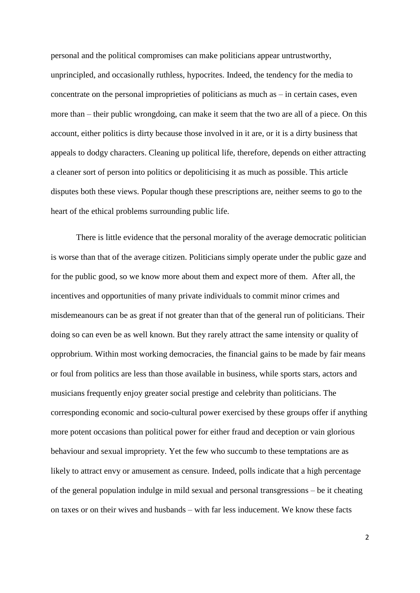personal and the political compromises can make politicians appear untrustworthy, unprincipled, and occasionally ruthless, hypocrites. Indeed, the tendency for the media to concentrate on the personal improprieties of politicians as much as – in certain cases, even more than – their public wrongdoing, can make it seem that the two are all of a piece. On this account, either politics is dirty because those involved in it are, or it is a dirty business that appeals to dodgy characters. Cleaning up political life, therefore, depends on either attracting a cleaner sort of person into politics or depoliticising it as much as possible. This article disputes both these views. Popular though these prescriptions are, neither seems to go to the heart of the ethical problems surrounding public life.

There is little evidence that the personal morality of the average democratic politician is worse than that of the average citizen. Politicians simply operate under the public gaze and for the public good, so we know more about them and expect more of them. After all, the incentives and opportunities of many private individuals to commit minor crimes and misdemeanours can be as great if not greater than that of the general run of politicians. Their doing so can even be as well known. But they rarely attract the same intensity or quality of opprobrium. Within most working democracies, the financial gains to be made by fair means or foul from politics are less than those available in business, while sports stars, actors and musicians frequently enjoy greater social prestige and celebrity than politicians. The corresponding economic and socio-cultural power exercised by these groups offer if anything more potent occasions than political power for either fraud and deception or vain glorious behaviour and sexual impropriety. Yet the few who succumb to these temptations are as likely to attract envy or amusement as censure. Indeed, polls indicate that a high percentage of the general population indulge in mild sexual and personal transgressions – be it cheating on taxes or on their wives and husbands – with far less inducement. We know these facts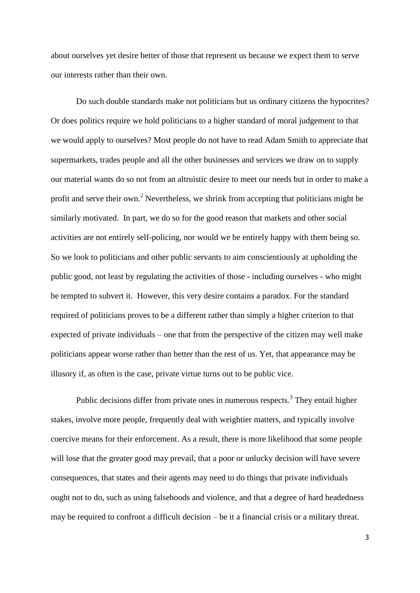about ourselves yet desire better of those that represent us because we expect them to serve our interests rather than their own.

Do such double standards make not politicians but us ordinary citizens the hypocrites? Or does politics require we hold politicians to a higher standard of moral judgement to that we would apply to ourselves? Most people do not have to read Adam Smith to appreciate that supermarkets, trades people and all the other businesses and services we draw on to supply our material wants do so not from an altruistic desire to meet our needs but in order to make a profit and serve their own.<sup>2</sup> Nevertheless, we shrink from accepting that politicians might be similarly motivated. In part, we do so for the good reason that markets and other social activities are not entirely self-policing, nor would we be entirely happy with them being so. So we look to politicians and other public servants to aim conscientiously at upholding the public good, not least by regulating the activities of those - including ourselves - who might be tempted to subvert it. However, this very desire contains a paradox. For the standard required of politicians proves to be a different rather than simply a higher criterion to that expected of private individuals – one that from the perspective of the citizen may well make politicians appear worse rather than better than the rest of us. Yet, that appearance may be illusory if, as often is the case, private virtue turns out to be public vice.

Public decisions differ from private ones in numerous respects.<sup>3</sup> They entail higher stakes, involve more people, frequently deal with weightier matters, and typically involve coercive means for their enforcement. As a result, there is more likelihood that some people will lose that the greater good may prevail, that a poor or unlucky decision will have severe consequences, that states and their agents may need to do things that private individuals ought not to do, such as using falsehoods and violence, and that a degree of hard headedness may be required to confront a difficult decision – be it a financial crisis or a military threat.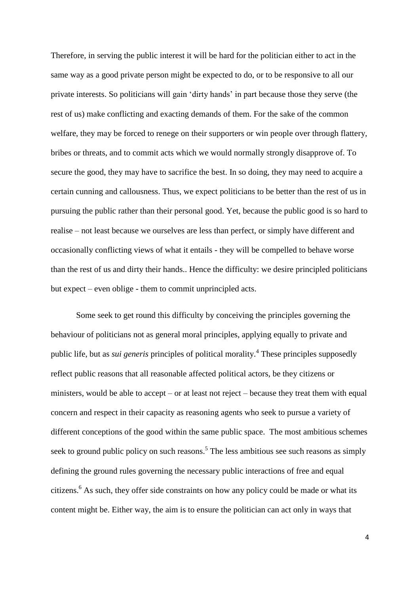Therefore, in serving the public interest it will be hard for the politician either to act in the same way as a good private person might be expected to do, or to be responsive to all our private interests. So politicians will gain 'dirty hands' in part because those they serve (the rest of us) make conflicting and exacting demands of them. For the sake of the common welfare, they may be forced to renege on their supporters or win people over through flattery, bribes or threats, and to commit acts which we would normally strongly disapprove of. To secure the good, they may have to sacrifice the best. In so doing, they may need to acquire a certain cunning and callousness. Thus, we expect politicians to be better than the rest of us in pursuing the public rather than their personal good. Yet, because the public good is so hard to realise – not least because we ourselves are less than perfect, or simply have different and occasionally conflicting views of what it entails - they will be compelled to behave worse than the rest of us and dirty their hands.. Hence the difficulty: we desire principled politicians but expect – even oblige - them to commit unprincipled acts.

Some seek to get round this difficulty by conceiving the principles governing the behaviour of politicians not as general moral principles, applying equally to private and public life, but as *sui generis* principles of political morality.<sup>4</sup> These principles supposedly reflect public reasons that all reasonable affected political actors, be they citizens or ministers, would be able to accept – or at least not reject – because they treat them with equal concern and respect in their capacity as reasoning agents who seek to pursue a variety of different conceptions of the good within the same public space. The most ambitious schemes seek to ground public policy on such reasons.<sup>5</sup> The less ambitious see such reasons as simply defining the ground rules governing the necessary public interactions of free and equal citizens.<sup>6</sup> As such, they offer side constraints on how any policy could be made or what its content might be. Either way, the aim is to ensure the politician can act only in ways that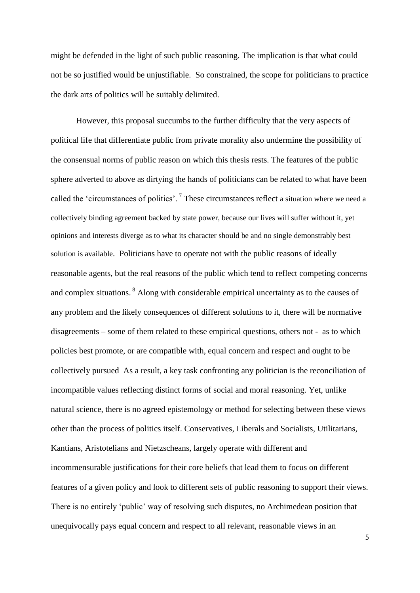might be defended in the light of such public reasoning. The implication is that what could not be so justified would be unjustifiable. So constrained, the scope for politicians to practice the dark arts of politics will be suitably delimited.

However, this proposal succumbs to the further difficulty that the very aspects of political life that differentiate public from private morality also undermine the possibility of the consensual norms of public reason on which this thesis rests. The features of the public sphere adverted to above as dirtying the hands of politicians can be related to what have been called the 'circumstances of politics'.<sup>7</sup> These circumstances reflect a situation where we need a collectively binding agreement backed by state power, because our lives will suffer without it, yet opinions and interests diverge as to what its character should be and no single demonstrably best solution is available. Politicians have to operate not with the public reasons of ideally reasonable agents, but the real reasons of the public which tend to reflect competing concerns and complex situations. <sup>8</sup> Along with considerable empirical uncertainty as to the causes of any problem and the likely consequences of different solutions to it, there will be normative disagreements – some of them related to these empirical questions, others not - as to which policies best promote, or are compatible with, equal concern and respect and ought to be collectively pursued As a result, a key task confronting any politician is the reconciliation of incompatible values reflecting distinct forms of social and moral reasoning. Yet, unlike natural science, there is no agreed epistemology or method for selecting between these views other than the process of politics itself. Conservatives, Liberals and Socialists, Utilitarians, Kantians, Aristotelians and Nietzscheans, largely operate with different and incommensurable justifications for their core beliefs that lead them to focus on different features of a given policy and look to different sets of public reasoning to support their views. There is no entirely 'public' way of resolving such disputes, no Archimedean position that unequivocally pays equal concern and respect to all relevant, reasonable views in an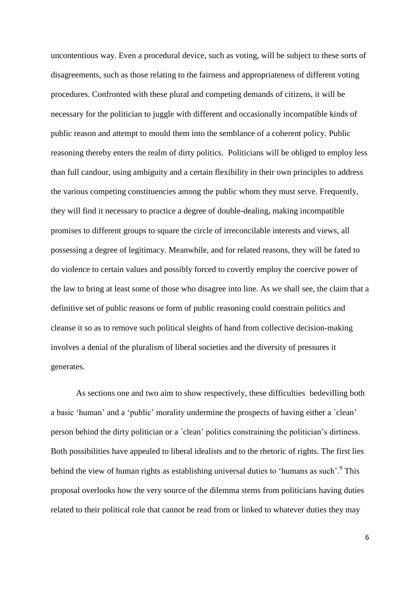uncontentious way. Even a procedural device, such as voting, will be subject to these sorts of disagreements, such as those relating to the fairness and appropriateness of different voting procedures. Confronted with these plural and competing demands of citizens, it will be necessary for the politician to juggle with different and occasionally incompatible kinds of public reason and attempt to mould them into the semblance of a coherent policy. Public reasoning thereby enters the realm of dirty politics. Politicians will be obliged to employ less than full candour, using ambiguity and a certain flexibility in their own principles to address the various competing constituencies among the public whom they must serve. Frequently, they will find it necessary to practice a degree of double-dealing, making incompatible promises to different groups to square the circle of irreconcilable interests and views, all possessing a degree of legitimacy. Meanwhile, and for related reasons, they will be fated to do violence to certain values and possibly forced to covertly employ the coercive power of the law to bring at least some of those who disagree into line. As we shall see, the claim that a definitive set of public reasons or form of public reasoning could constrain politics and cleanse it so as to remove such political sleights of hand from collective decision-making involves a denial of the pluralism of liberal societies and the diversity of pressures it generates.

As sections one and two aim to show respectively, these difficulties bedevilling both a basic 'human' and a 'public' morality undermine the prospects of having either a `clean' person behind the dirty politician or a `clean' politics constraining the politician's dirtiness. Both possibilities have appealed to liberal idealists and to the rhetoric of rights. The first lies behind the view of human rights as establishing universal duties to 'humans as such'.<sup>9</sup> This proposal overlooks how the very source of the dilemma stems from politicians having duties related to their political role that cannot be read from or linked to whatever duties they may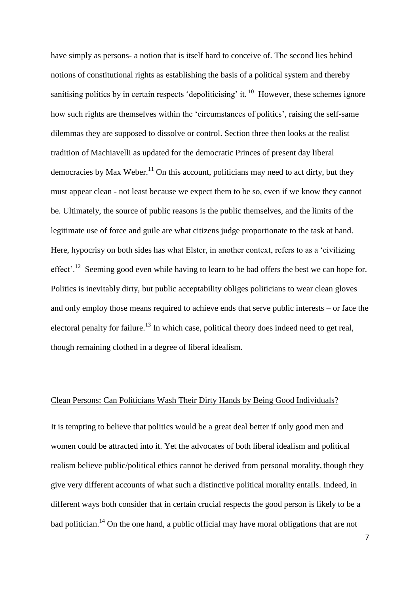have simply as persons- a notion that is itself hard to conceive of. The second lies behind notions of constitutional rights as establishing the basis of a political system and thereby sanitising politics by in certain respects 'depoliticising' it.  $^{10}$  However, these schemes ignore how such rights are themselves within the 'circumstances of politics', raising the self-same dilemmas they are supposed to dissolve or control. Section three then looks at the realist tradition of Machiavelli as updated for the democratic Princes of present day liberal democracies by Max Weber.<sup>11</sup> On this account, politicians may need to act dirty, but they must appear clean - not least because we expect them to be so, even if we know they cannot be. Ultimately, the source of public reasons is the public themselves, and the limits of the legitimate use of force and guile are what citizens judge proportionate to the task at hand. Here, hypocrisy on both sides has what Elster, in another context, refers to as a 'civilizing effect'.<sup>12</sup> Seeming good even while having to learn to be bad offers the best we can hope for. Politics is inevitably dirty, but public acceptability obliges politicians to wear clean gloves and only employ those means required to achieve ends that serve public interests – or face the electoral penalty for failure.<sup>13</sup> In which case, political theory does indeed need to get real, though remaining clothed in a degree of liberal idealism.

### Clean Persons: Can Politicians Wash Their Dirty Hands by Being Good Individuals?

It is tempting to believe that politics would be a great deal better if only good men and women could be attracted into it. Yet the advocates of both liberal idealism and political realism believe public/political ethics cannot be derived from personal morality, though they give very different accounts of what such a distinctive political morality entails. Indeed, in different ways both consider that in certain crucial respects the good person is likely to be a bad politician.<sup>14</sup> On the one hand, a public official may have moral obligations that are not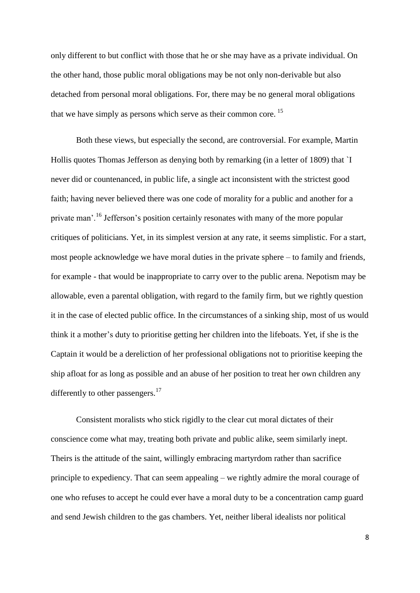only different to but conflict with those that he or she may have as a private individual. On the other hand, those public moral obligations may be not only non-derivable but also detached from personal moral obligations. For, there may be no general moral obligations that we have simply as persons which serve as their common core.  $15$ 

Both these views, but especially the second, are controversial. For example, Martin Hollis quotes Thomas Jefferson as denying both by remarking (in a letter of 1809) that `I never did or countenanced, in public life, a single act inconsistent with the strictest good faith; having never believed there was one code of morality for a public and another for a private man'.<sup>16</sup> Jefferson's position certainly resonates with many of the more popular critiques of politicians. Yet, in its simplest version at any rate, it seems simplistic. For a start, most people acknowledge we have moral duties in the private sphere – to family and friends, for example - that would be inappropriate to carry over to the public arena. Nepotism may be allowable, even a parental obligation, with regard to the family firm, but we rightly question it in the case of elected public office. In the circumstances of a sinking ship, most of us would think it a mother's duty to prioritise getting her children into the lifeboats. Yet, if she is the Captain it would be a dereliction of her professional obligations not to prioritise keeping the ship afloat for as long as possible and an abuse of her position to treat her own children any differently to other passengers.<sup>17</sup>

Consistent moralists who stick rigidly to the clear cut moral dictates of their conscience come what may, treating both private and public alike, seem similarly inept. Theirs is the attitude of the saint, willingly embracing martyrdom rather than sacrifice principle to expediency. That can seem appealing – we rightly admire the moral courage of one who refuses to accept he could ever have a moral duty to be a concentration camp guard and send Jewish children to the gas chambers. Yet, neither liberal idealists nor political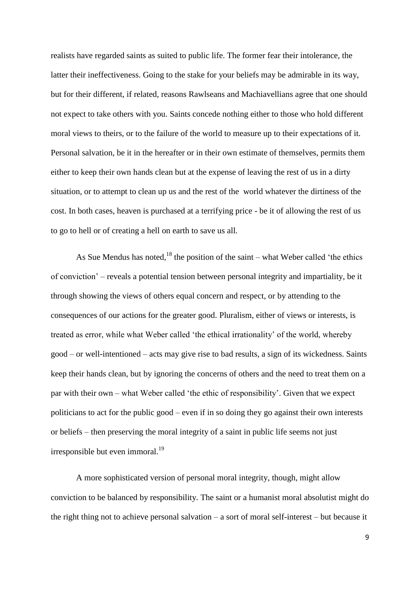realists have regarded saints as suited to public life. The former fear their intolerance, the latter their ineffectiveness. Going to the stake for your beliefs may be admirable in its way, but for their different, if related, reasons Rawlseans and Machiavellians agree that one should not expect to take others with you. Saints concede nothing either to those who hold different moral views to theirs, or to the failure of the world to measure up to their expectations of it. Personal salvation, be it in the hereafter or in their own estimate of themselves, permits them either to keep their own hands clean but at the expense of leaving the rest of us in a dirty situation, or to attempt to clean up us and the rest of the world whatever the dirtiness of the cost. In both cases, heaven is purchased at a terrifying price - be it of allowing the rest of us to go to hell or of creating a hell on earth to save us all.

As Sue Mendus has noted,  $^{18}$  the position of the saint – what Weber called 'the ethics of conviction' – reveals a potential tension between personal integrity and impartiality, be it through showing the views of others equal concern and respect, or by attending to the consequences of our actions for the greater good. Pluralism, either of views or interests, is treated as error, while what Weber called 'the ethical irrationality' of the world, whereby good – or well-intentioned – acts may give rise to bad results, a sign of its wickedness. Saints keep their hands clean, but by ignoring the concerns of others and the need to treat them on a par with their own – what Weber called 'the ethic of responsibility'. Given that we expect politicians to act for the public good – even if in so doing they go against their own interests or beliefs – then preserving the moral integrity of a saint in public life seems not just irresponsible but even immoral.<sup>19</sup>

A more sophisticated version of personal moral integrity, though, might allow conviction to be balanced by responsibility. The saint or a humanist moral absolutist might do the right thing not to achieve personal salvation – a sort of moral self-interest – but because it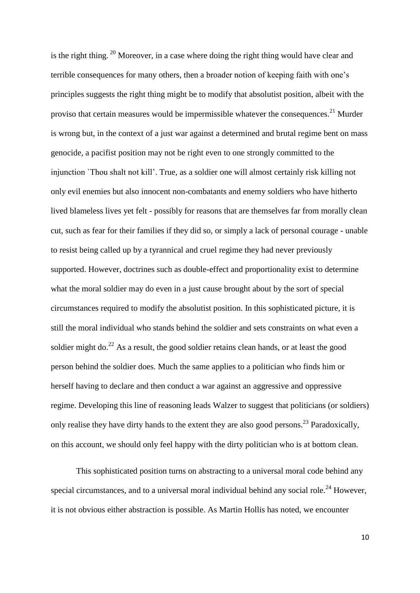is the right thing.  $20$  Moreover, in a case where doing the right thing would have clear and terrible consequences for many others, then a broader notion of keeping faith with one's principles suggests the right thing might be to modify that absolutist position, albeit with the proviso that certain measures would be impermissible whatever the consequences.<sup>21</sup> Murder is wrong but, in the context of a just war against a determined and brutal regime bent on mass genocide, a pacifist position may not be right even to one strongly committed to the injunction `Thou shalt not kill'. True, as a soldier one will almost certainly risk killing not only evil enemies but also innocent non-combatants and enemy soldiers who have hitherto lived blameless lives yet felt - possibly for reasons that are themselves far from morally clean cut, such as fear for their families if they did so, or simply a lack of personal courage - unable to resist being called up by a tyrannical and cruel regime they had never previously supported. However, doctrines such as double-effect and proportionality exist to determine what the moral soldier may do even in a just cause brought about by the sort of special circumstances required to modify the absolutist position. In this sophisticated picture, it is still the moral individual who stands behind the soldier and sets constraints on what even a soldier might do.<sup>22</sup> As a result, the good soldier retains clean hands, or at least the good person behind the soldier does. Much the same applies to a politician who finds him or herself having to declare and then conduct a war against an aggressive and oppressive regime. Developing this line of reasoning leads Walzer to suggest that politicians (or soldiers) only realise they have dirty hands to the extent they are also good persons.<sup>23</sup> Paradoxically, on this account, we should only feel happy with the dirty politician who is at bottom clean.

This sophisticated position turns on abstracting to a universal moral code behind any special circumstances, and to a universal moral individual behind any social role.<sup>24</sup> However, it is not obvious either abstraction is possible. As Martin Hollis has noted, we encounter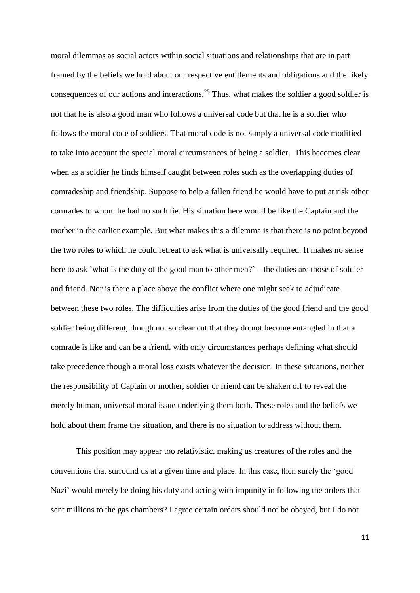moral dilemmas as social actors within social situations and relationships that are in part framed by the beliefs we hold about our respective entitlements and obligations and the likely consequences of our actions and interactions.<sup>25</sup> Thus, what makes the soldier a good soldier is not that he is also a good man who follows a universal code but that he is a soldier who follows the moral code of soldiers. That moral code is not simply a universal code modified to take into account the special moral circumstances of being a soldier. This becomes clear when as a soldier he finds himself caught between roles such as the overlapping duties of comradeship and friendship. Suppose to help a fallen friend he would have to put at risk other comrades to whom he had no such tie. His situation here would be like the Captain and the mother in the earlier example. But what makes this a dilemma is that there is no point beyond the two roles to which he could retreat to ask what is universally required. It makes no sense here to ask `what is the duty of the good man to other men?' – the duties are those of soldier and friend. Nor is there a place above the conflict where one might seek to adjudicate between these two roles. The difficulties arise from the duties of the good friend and the good soldier being different, though not so clear cut that they do not become entangled in that a comrade is like and can be a friend, with only circumstances perhaps defining what should take precedence though a moral loss exists whatever the decision. In these situations, neither the responsibility of Captain or mother, soldier or friend can be shaken off to reveal the merely human, universal moral issue underlying them both. These roles and the beliefs we hold about them frame the situation, and there is no situation to address without them.

This position may appear too relativistic, making us creatures of the roles and the conventions that surround us at a given time and place. In this case, then surely the 'good Nazi' would merely be doing his duty and acting with impunity in following the orders that sent millions to the gas chambers? I agree certain orders should not be obeyed, but I do not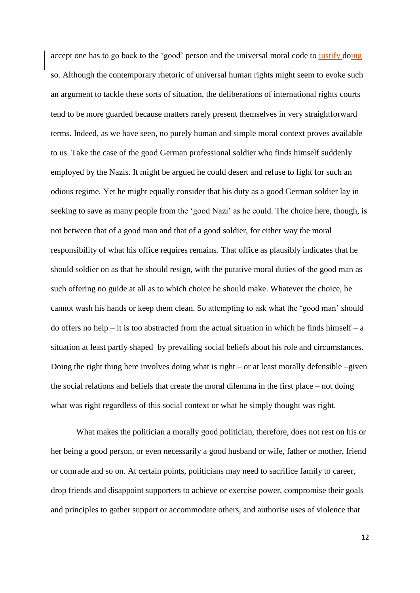accept one has to go back to the 'good' person and the universal moral code to justify doing so. Although the contemporary rhetoric of universal human rights might seem to evoke such an argument to tackle these sorts of situation, the deliberations of international rights courts tend to be more guarded because matters rarely present themselves in very straightforward terms. Indeed, as we have seen, no purely human and simple moral context proves available to us. Take the case of the good German professional soldier who finds himself suddenly employed by the Nazis. It might be argued he could desert and refuse to fight for such an odious regime. Yet he might equally consider that his duty as a good German soldier lay in seeking to save as many people from the 'good Nazi' as he could. The choice here, though, is not between that of a good man and that of a good soldier, for either way the moral responsibility of what his office requires remains. That office as plausibly indicates that he should soldier on as that he should resign, with the putative moral duties of the good man as such offering no guide at all as to which choice he should make. Whatever the choice, he cannot wash his hands or keep them clean. So attempting to ask what the 'good man' should do offers no help – it is too abstracted from the actual situation in which he finds himself – a situation at least partly shaped by prevailing social beliefs about his role and circumstances. Doing the right thing here involves doing what is right – or at least morally defensible –given the social relations and beliefs that create the moral dilemma in the first place – not doing what was right regardless of this social context or what he simply thought was right.

What makes the politician a morally good politician, therefore, does not rest on his or her being a good person, or even necessarily a good husband or wife, father or mother, friend or comrade and so on. At certain points, politicians may need to sacrifice family to career, drop friends and disappoint supporters to achieve or exercise power, compromise their goals and principles to gather support or accommodate others, and authorise uses of violence that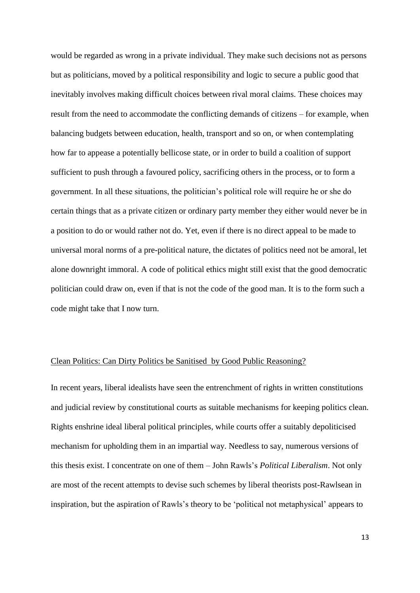would be regarded as wrong in a private individual. They make such decisions not as persons but as politicians, moved by a political responsibility and logic to secure a public good that inevitably involves making difficult choices between rival moral claims. These choices may result from the need to accommodate the conflicting demands of citizens – for example, when balancing budgets between education, health, transport and so on, or when contemplating how far to appease a potentially bellicose state, or in order to build a coalition of support sufficient to push through a favoured policy, sacrificing others in the process, or to form a government. In all these situations, the politician's political role will require he or she do certain things that as a private citizen or ordinary party member they either would never be in a position to do or would rather not do. Yet, even if there is no direct appeal to be made to universal moral norms of a pre-political nature, the dictates of politics need not be amoral, let alone downright immoral. A code of political ethics might still exist that the good democratic politician could draw on, even if that is not the code of the good man. It is to the form such a code might take that I now turn.

#### Clean Politics: Can Dirty Politics be Sanitised by Good Public Reasoning?

In recent years, liberal idealists have seen the entrenchment of rights in written constitutions and judicial review by constitutional courts as suitable mechanisms for keeping politics clean. Rights enshrine ideal liberal political principles, while courts offer a suitably depoliticised mechanism for upholding them in an impartial way. Needless to say, numerous versions of this thesis exist. I concentrate on one of them – John Rawls's *Political Liberalism*. Not only are most of the recent attempts to devise such schemes by liberal theorists post-Rawlsean in inspiration, but the aspiration of Rawls's theory to be 'political not metaphysical' appears to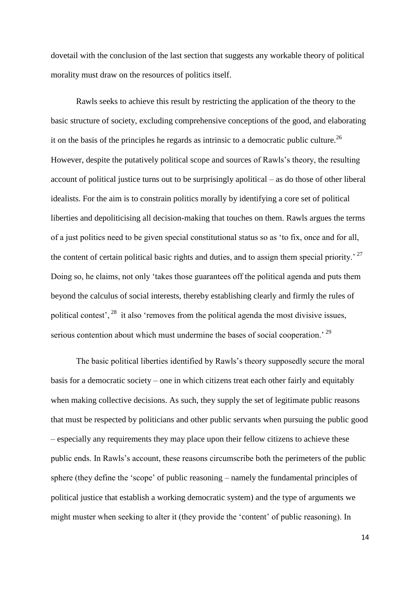dovetail with the conclusion of the last section that suggests any workable theory of political morality must draw on the resources of politics itself.

Rawls seeks to achieve this result by restricting the application of the theory to the basic structure of society, excluding comprehensive conceptions of the good, and elaborating it on the basis of the principles he regards as intrinsic to a democratic public culture.<sup>26</sup> However, despite the putatively political scope and sources of Rawls's theory, the resulting account of political justice turns out to be surprisingly apolitical – as do those of other liberal idealists. For the aim is to constrain politics morally by identifying a core set of political liberties and depoliticising all decision-making that touches on them. Rawls argues the terms of a just politics need to be given special constitutional status so as 'to fix, once and for all, the content of certain political basic rights and duties, and to assign them special priority.<sup>27</sup> Doing so, he claims, not only 'takes those guarantees off the political agenda and puts them beyond the calculus of social interests, thereby establishing clearly and firmly the rules of political contest', <sup>28</sup> it also 'removes from the political agenda the most divisive issues, serious contention about which must undermine the bases of social cooperation.<sup>' 29</sup>

The basic political liberties identified by Rawls's theory supposedly secure the moral basis for a democratic society – one in which citizens treat each other fairly and equitably when making collective decisions. As such, they supply the set of legitimate public reasons that must be respected by politicians and other public servants when pursuing the public good – especially any requirements they may place upon their fellow citizens to achieve these public ends. In Rawls's account, these reasons circumscribe both the perimeters of the public sphere (they define the 'scope' of public reasoning – namely the fundamental principles of political justice that establish a working democratic system) and the type of arguments we might muster when seeking to alter it (they provide the 'content' of public reasoning). In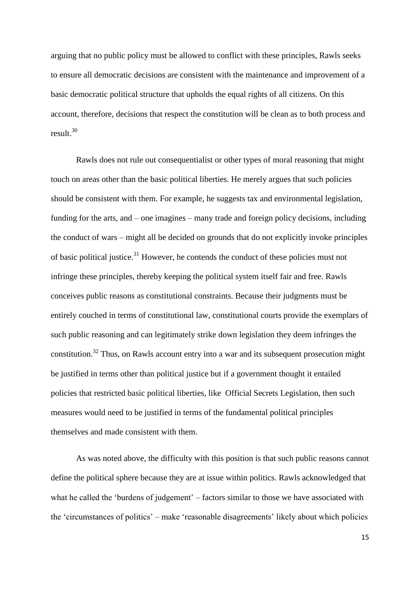arguing that no public policy must be allowed to conflict with these principles, Rawls seeks to ensure all democratic decisions are consistent with the maintenance and improvement of a basic democratic political structure that upholds the equal rights of all citizens. On this account, therefore, decisions that respect the constitution will be clean as to both process and result.<sup>30</sup>

Rawls does not rule out consequentialist or other types of moral reasoning that might touch on areas other than the basic political liberties. He merely argues that such policies should be consistent with them. For example, he suggests tax and environmental legislation, funding for the arts, and – one imagines – many trade and foreign policy decisions, including the conduct of wars – might all be decided on grounds that do not explicitly invoke principles of basic political justice.<sup>31</sup> However, he contends the conduct of these policies must not infringe these principles, thereby keeping the political system itself fair and free. Rawls conceives public reasons as constitutional constraints. Because their judgments must be entirely couched in terms of constitutional law, constitutional courts provide the exemplars of such public reasoning and can legitimately strike down legislation they deem infringes the constitution.<sup>32</sup> Thus, on Rawls account entry into a war and its subsequent prosecution might be justified in terms other than political justice but if a government thought it entailed policies that restricted basic political liberties, like Official Secrets Legislation, then such measures would need to be justified in terms of the fundamental political principles themselves and made consistent with them.

As was noted above, the difficulty with this position is that such public reasons cannot define the political sphere because they are at issue within politics. Rawls acknowledged that what he called the 'burdens of judgement' – factors similar to those we have associated with the 'circumstances of politics' – make 'reasonable disagreements' likely about which policies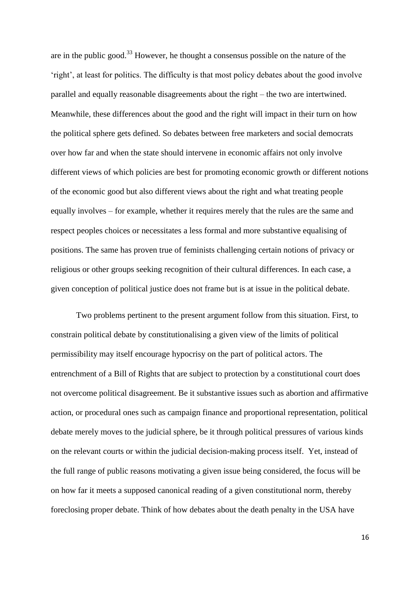are in the public good.<sup>33</sup> However, he thought a consensus possible on the nature of the 'right', at least for politics. The difficulty is that most policy debates about the good involve parallel and equally reasonable disagreements about the right – the two are intertwined. Meanwhile, these differences about the good and the right will impact in their turn on how the political sphere gets defined. So debates between free marketers and social democrats over how far and when the state should intervene in economic affairs not only involve different views of which policies are best for promoting economic growth or different notions of the economic good but also different views about the right and what treating people equally involves – for example, whether it requires merely that the rules are the same and respect peoples choices or necessitates a less formal and more substantive equalising of positions. The same has proven true of feminists challenging certain notions of privacy or religious or other groups seeking recognition of their cultural differences. In each case, a given conception of political justice does not frame but is at issue in the political debate.

Two problems pertinent to the present argument follow from this situation. First, to constrain political debate by constitutionalising a given view of the limits of political permissibility may itself encourage hypocrisy on the part of political actors. The entrenchment of a Bill of Rights that are subject to protection by a constitutional court does not overcome political disagreement. Be it substantive issues such as abortion and affirmative action, or procedural ones such as campaign finance and proportional representation, political debate merely moves to the judicial sphere, be it through political pressures of various kinds on the relevant courts or within the judicial decision-making process itself. Yet, instead of the full range of public reasons motivating a given issue being considered, the focus will be on how far it meets a supposed canonical reading of a given constitutional norm, thereby foreclosing proper debate. Think of how debates about the death penalty in the USA have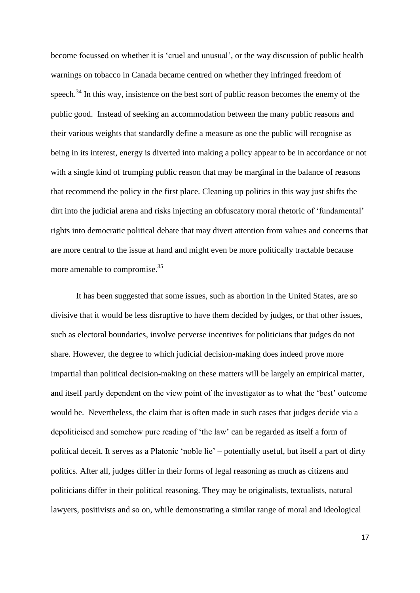become focussed on whether it is 'cruel and unusual', or the way discussion of public health warnings on tobacco in Canada became centred on whether they infringed freedom of speech. $34$  In this way, insistence on the best sort of public reason becomes the enemy of the public good. Instead of seeking an accommodation between the many public reasons and their various weights that standardly define a measure as one the public will recognise as being in its interest, energy is diverted into making a policy appear to be in accordance or not with a single kind of trumping public reason that may be marginal in the balance of reasons that recommend the policy in the first place. Cleaning up politics in this way just shifts the dirt into the judicial arena and risks injecting an obfuscatory moral rhetoric of 'fundamental' rights into democratic political debate that may divert attention from values and concerns that are more central to the issue at hand and might even be more politically tractable because more amenable to compromise.<sup>35</sup>

It has been suggested that some issues, such as abortion in the United States, are so divisive that it would be less disruptive to have them decided by judges, or that other issues, such as electoral boundaries, involve perverse incentives for politicians that judges do not share. However, the degree to which judicial decision-making does indeed prove more impartial than political decision-making on these matters will be largely an empirical matter, and itself partly dependent on the view point of the investigator as to what the 'best' outcome would be. Nevertheless, the claim that is often made in such cases that judges decide via a depoliticised and somehow pure reading of 'the law' can be regarded as itself a form of political deceit. It serves as a Platonic 'noble lie' – potentially useful, but itself a part of dirty politics. After all, judges differ in their forms of legal reasoning as much as citizens and politicians differ in their political reasoning. They may be originalists, textualists, natural lawyers, positivists and so on, while demonstrating a similar range of moral and ideological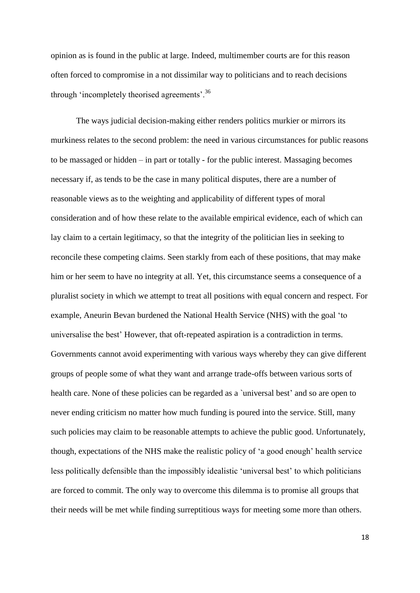opinion as is found in the public at large. Indeed, multimember courts are for this reason often forced to compromise in a not dissimilar way to politicians and to reach decisions through 'incompletely theorised agreements'.<sup>36</sup>

The ways judicial decision-making either renders politics murkier or mirrors its murkiness relates to the second problem: the need in various circumstances for public reasons to be massaged or hidden – in part or totally - for the public interest. Massaging becomes necessary if, as tends to be the case in many political disputes, there are a number of reasonable views as to the weighting and applicability of different types of moral consideration and of how these relate to the available empirical evidence, each of which can lay claim to a certain legitimacy, so that the integrity of the politician lies in seeking to reconcile these competing claims. Seen starkly from each of these positions, that may make him or her seem to have no integrity at all. Yet, this circumstance seems a consequence of a pluralist society in which we attempt to treat all positions with equal concern and respect. For example, Aneurin Bevan burdened the National Health Service (NHS) with the goal 'to universalise the best' However, that oft-repeated aspiration is a contradiction in terms. Governments cannot avoid experimenting with various ways whereby they can give different groups of people some of what they want and arrange trade-offs between various sorts of health care. None of these policies can be regarded as a 'universal best' and so are open to never ending criticism no matter how much funding is poured into the service. Still, many such policies may claim to be reasonable attempts to achieve the public good. Unfortunately, though, expectations of the NHS make the realistic policy of 'a good enough' health service less politically defensible than the impossibly idealistic 'universal best' to which politicians are forced to commit. The only way to overcome this dilemma is to promise all groups that their needs will be met while finding surreptitious ways for meeting some more than others.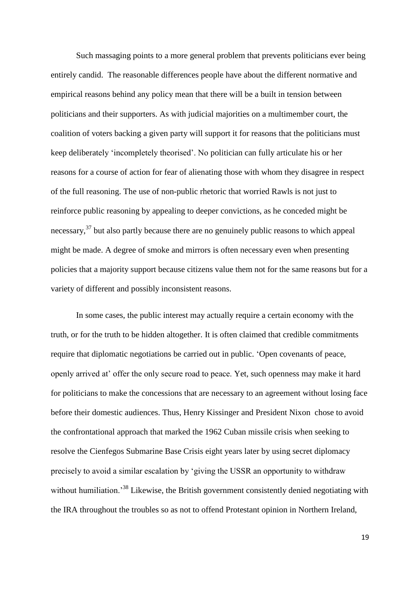Such massaging points to a more general problem that prevents politicians ever being entirely candid. The reasonable differences people have about the different normative and empirical reasons behind any policy mean that there will be a built in tension between politicians and their supporters. As with judicial majorities on a multimember court, the coalition of voters backing a given party will support it for reasons that the politicians must keep deliberately 'incompletely theorised'. No politician can fully articulate his or her reasons for a course of action for fear of alienating those with whom they disagree in respect of the full reasoning. The use of non-public rhetoric that worried Rawls is not just to reinforce public reasoning by appealing to deeper convictions, as he conceded might be necessary, $37$  but also partly because there are no genuinely public reasons to which appeal might be made. A degree of smoke and mirrors is often necessary even when presenting policies that a majority support because citizens value them not for the same reasons but for a variety of different and possibly inconsistent reasons.

In some cases, the public interest may actually require a certain economy with the truth, or for the truth to be hidden altogether. It is often claimed that credible commitments require that diplomatic negotiations be carried out in public. 'Open covenants of peace, openly arrived at' offer the only secure road to peace. Yet, such openness may make it hard for politicians to make the concessions that are necessary to an agreement without losing face before their domestic audiences. Thus, Henry Kissinger and President Nixon chose to avoid the confrontational approach that marked the 1962 Cuban missile crisis when seeking to resolve the Cienfegos Submarine Base Crisis eight years later by using secret diplomacy precisely to avoid a similar escalation by 'giving the USSR an opportunity to withdraw without humiliation.<sup>38</sup> Likewise, the British government consistently denied negotiating with the IRA throughout the troubles so as not to offend Protestant opinion in Northern Ireland,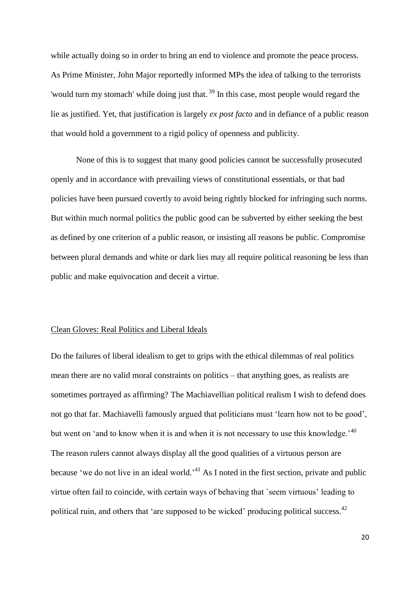while actually doing so in order to bring an end to violence and promote the peace process. As Prime Minister, John Major reportedly informed MPs the idea of talking to the terrorists 'would turn my stomach' while doing just that.<sup>39</sup> In this case, most people would regard the lie as justified. Yet, that justification is largely *ex post facto* and in defiance of a public reason that would hold a government to a rigid policy of openness and publicity.

None of this is to suggest that many good policies cannot be successfully prosecuted openly and in accordance with prevailing views of constitutional essentials, or that bad policies have been pursued covertly to avoid being rightly blocked for infringing such norms. But within much normal politics the public good can be subverted by either seeking the best as defined by one criterion of a public reason, or insisting all reasons be public. Compromise between plural demands and white or dark lies may all require political reasoning be less than public and make equivocation and deceit a virtue.

## Clean Gloves: Real Politics and Liberal Ideals

Do the failures of liberal idealism to get to grips with the ethical dilemmas of real politics mean there are no valid moral constraints on politics – that anything goes, as realists are sometimes portrayed as affirming? The Machiavellian political realism I wish to defend does not go that far. Machiavelli famously argued that politicians must 'learn how not to be good', but went on 'and to know when it is and when it is not necessary to use this knowledge.<sup>'40</sup> The reason rulers cannot always display all the good qualities of a virtuous person are because 'we do not live in an ideal world.<sup>'41</sup> As I noted in the first section, private and public virtue often fail to coincide, with certain ways of behaving that `seem virtuous' leading to political ruin, and others that 'are supposed to be wicked' producing political success.<sup>42</sup>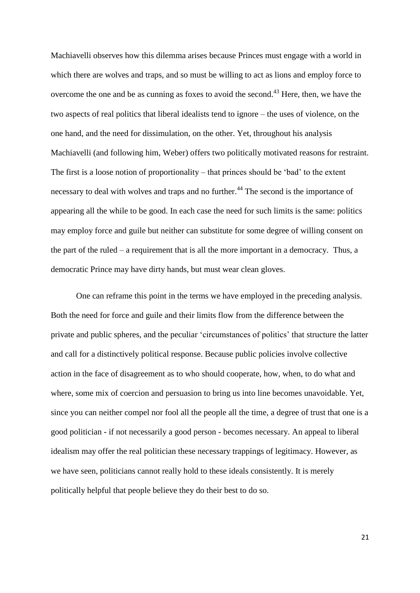Machiavelli observes how this dilemma arises because Princes must engage with a world in which there are wolves and traps, and so must be willing to act as lions and employ force to overcome the one and be as cunning as foxes to avoid the second.<sup>43</sup> Here, then, we have the two aspects of real politics that liberal idealists tend to ignore – the uses of violence, on the one hand, and the need for dissimulation, on the other. Yet, throughout his analysis Machiavelli (and following him, Weber) offers two politically motivated reasons for restraint. The first is a loose notion of proportionality – that princes should be 'bad' to the extent necessary to deal with wolves and traps and no further.<sup>44</sup> The second is the importance of appearing all the while to be good. In each case the need for such limits is the same: politics may employ force and guile but neither can substitute for some degree of willing consent on the part of the ruled – a requirement that is all the more important in a democracy. Thus, a democratic Prince may have dirty hands, but must wear clean gloves.

One can reframe this point in the terms we have employed in the preceding analysis. Both the need for force and guile and their limits flow from the difference between the private and public spheres, and the peculiar 'circumstances of politics' that structure the latter and call for a distinctively political response. Because public policies involve collective action in the face of disagreement as to who should cooperate, how, when, to do what and where, some mix of coercion and persuasion to bring us into line becomes unavoidable. Yet, since you can neither compel nor fool all the people all the time, a degree of trust that one is a good politician - if not necessarily a good person - becomes necessary. An appeal to liberal idealism may offer the real politician these necessary trappings of legitimacy. However, as we have seen, politicians cannot really hold to these ideals consistently. It is merely politically helpful that people believe they do their best to do so.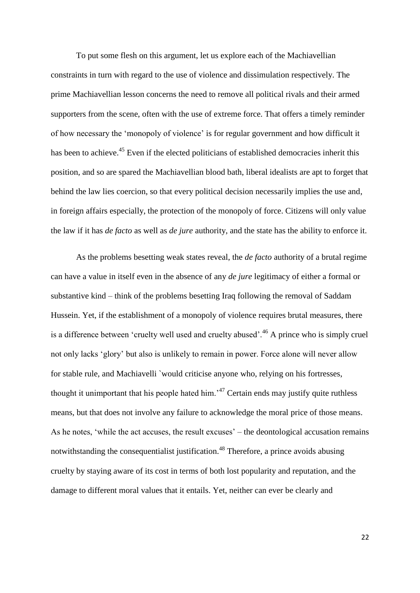To put some flesh on this argument, let us explore each of the Machiavellian constraints in turn with regard to the use of violence and dissimulation respectively. The prime Machiavellian lesson concerns the need to remove all political rivals and their armed supporters from the scene, often with the use of extreme force. That offers a timely reminder of how necessary the 'monopoly of violence' is for regular government and how difficult it has been to achieve.<sup>45</sup> Even if the elected politicians of established democracies inherit this position, and so are spared the Machiavellian blood bath, liberal idealists are apt to forget that behind the law lies coercion, so that every political decision necessarily implies the use and, in foreign affairs especially, the protection of the monopoly of force. Citizens will only value the law if it has *de facto* as well as *de jure* authority, and the state has the ability to enforce it.

As the problems besetting weak states reveal, the *de facto* authority of a brutal regime can have a value in itself even in the absence of any *de jure* legitimacy of either a formal or substantive kind – think of the problems besetting Iraq following the removal of Saddam Hussein. Yet, if the establishment of a monopoly of violence requires brutal measures, there is a difference between 'cruelty well used and cruelty abused'.<sup>46</sup> A prince who is simply cruel not only lacks 'glory' but also is unlikely to remain in power. Force alone will never allow for stable rule, and Machiavelli `would criticise anyone who, relying on his fortresses, thought it unimportant that his people hated him.<sup>47</sup> Certain ends may justify quite ruthless means, but that does not involve any failure to acknowledge the moral price of those means. As he notes, 'while the act accuses, the result excuses' – the deontological accusation remains notwithstanding the consequentialist justification.<sup>48</sup> Therefore, a prince avoids abusing cruelty by staying aware of its cost in terms of both lost popularity and reputation, and the damage to different moral values that it entails. Yet, neither can ever be clearly and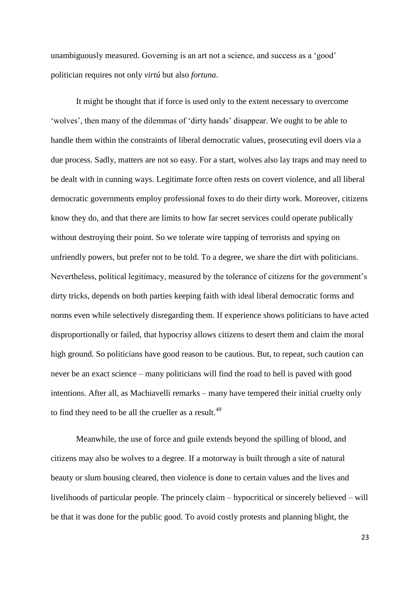unambiguously measured. Governing is an art not a science, and success as a 'good' politician requires not only *virtú* but also *fortuna*.

It might be thought that if force is used only to the extent necessary to overcome 'wolves', then many of the dilemmas of 'dirty hands' disappear. We ought to be able to handle them within the constraints of liberal democratic values, prosecuting evil doers via a due process. Sadly, matters are not so easy. For a start, wolves also lay traps and may need to be dealt with in cunning ways. Legitimate force often rests on covert violence, and all liberal democratic governments employ professional foxes to do their dirty work. Moreover, citizens know they do, and that there are limits to how far secret services could operate publically without destroying their point. So we tolerate wire tapping of terrorists and spying on unfriendly powers, but prefer not to be told. To a degree, we share the dirt with politicians. Nevertheless, political legitimacy, measured by the tolerance of citizens for the government's dirty tricks, depends on both parties keeping faith with ideal liberal democratic forms and norms even while selectively disregarding them. If experience shows politicians to have acted disproportionally or failed, that hypocrisy allows citizens to desert them and claim the moral high ground. So politicians have good reason to be cautious. But, to repeat, such caution can never be an exact science – many politicians will find the road to hell is paved with good intentions. After all, as Machiavelli remarks – many have tempered their initial cruelty only to find they need to be all the crueller as a result.<sup>49</sup>

Meanwhile, the use of force and guile extends beyond the spilling of blood, and citizens may also be wolves to a degree. If a motorway is built through a site of natural beauty or slum housing cleared, then violence is done to certain values and the lives and livelihoods of particular people. The princely claim – hypocritical or sincerely believed – will be that it was done for the public good. To avoid costly protests and planning blight, the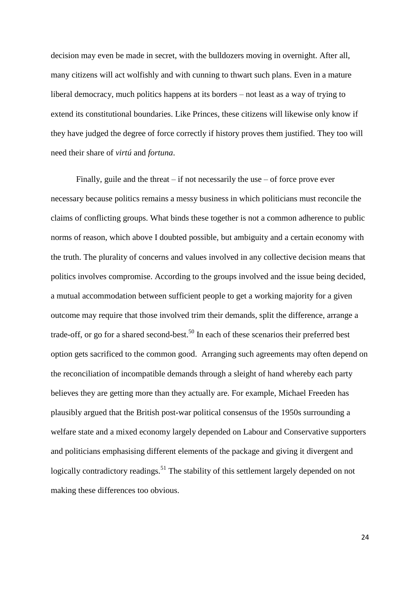decision may even be made in secret, with the bulldozers moving in overnight. After all, many citizens will act wolfishly and with cunning to thwart such plans. Even in a mature liberal democracy, much politics happens at its borders – not least as a way of trying to extend its constitutional boundaries. Like Princes, these citizens will likewise only know if they have judged the degree of force correctly if history proves them justified. They too will need their share of *virtú* and *fortuna*.

Finally, guile and the threat  $-$  if not necessarily the use  $-$  of force prove ever necessary because politics remains a messy business in which politicians must reconcile the claims of conflicting groups. What binds these together is not a common adherence to public norms of reason, which above I doubted possible, but ambiguity and a certain economy with the truth. The plurality of concerns and values involved in any collective decision means that politics involves compromise. According to the groups involved and the issue being decided, a mutual accommodation between sufficient people to get a working majority for a given outcome may require that those involved trim their demands, split the difference, arrange a trade-off, or go for a shared second-best.<sup>50</sup> In each of these scenarios their preferred best option gets sacrificed to the common good. Arranging such agreements may often depend on the reconciliation of incompatible demands through a sleight of hand whereby each party believes they are getting more than they actually are. For example, Michael Freeden has plausibly argued that the British post-war political consensus of the 1950s surrounding a welfare state and a mixed economy largely depended on Labour and Conservative supporters and politicians emphasising different elements of the package and giving it divergent and logically contradictory readings.<sup>51</sup> The stability of this settlement largely depended on not making these differences too obvious.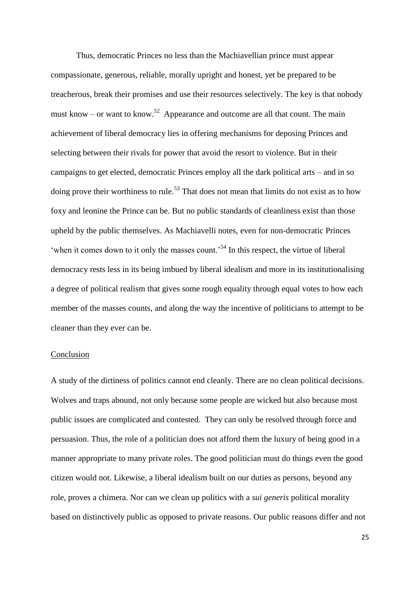Thus, democratic Princes no less than the Machiavellian prince must appear compassionate, generous, reliable, morally upright and honest, yet be prepared to be treacherous, break their promises and use their resources selectively. The key is that nobody must know – or want to know.<sup>52</sup> Appearance and outcome are all that count. The main achievement of liberal democracy lies in offering mechanisms for deposing Princes and selecting between their rivals for power that avoid the resort to violence. But in their campaigns to get elected, democratic Princes employ all the dark political arts – and in so doing prove their worthiness to rule.<sup>53</sup> That does not mean that limits do not exist as to how foxy and leonine the Prince can be. But no public standards of cleanliness exist than those upheld by the public themselves. As Machiavelli notes, even for non-democratic Princes 'when it comes down to it only the masses count.'<sup>54</sup> In this respect, the virtue of liberal democracy rests less in its being imbued by liberal idealism and more in its institutionalising a degree of political realism that gives some rough equality through equal votes to how each member of the masses counts, and along the way the incentive of politicians to attempt to be cleaner than they ever can be.

#### Conclusion

A study of the dirtiness of politics cannot end cleanly. There are no clean political decisions. Wolves and traps abound, not only because some people are wicked but also because most public issues are complicated and contested. They can only be resolved through force and persuasion. Thus, the role of a politician does not afford them the luxury of being good in a manner appropriate to many private roles. The good politician must do things even the good citizen would not. Likewise, a liberal idealism built on our duties as persons, beyond any role, proves a chimera. Nor can we clean up politics with a *sui generis* political morality based on distinctively public as opposed to private reasons. Our public reasons differ and not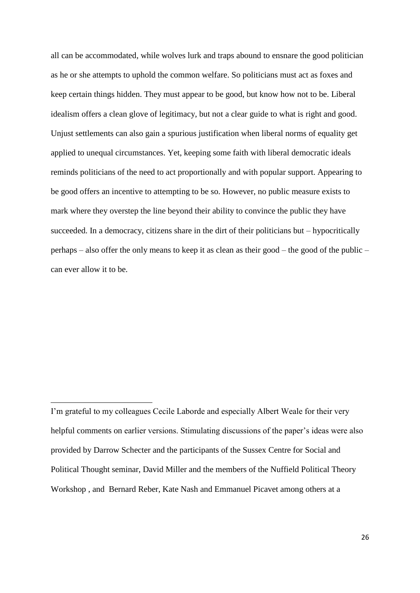all can be accommodated, while wolves lurk and traps abound to ensnare the good politician as he or she attempts to uphold the common welfare. So politicians must act as foxes and keep certain things hidden. They must appear to be good, but know how not to be. Liberal idealism offers a clean glove of legitimacy, but not a clear guide to what is right and good. Unjust settlements can also gain a spurious justification when liberal norms of equality get applied to unequal circumstances. Yet, keeping some faith with liberal democratic ideals reminds politicians of the need to act proportionally and with popular support. Appearing to be good offers an incentive to attempting to be so. However, no public measure exists to mark where they overstep the line beyond their ability to convince the public they have succeeded. In a democracy, citizens share in the dirt of their politicians but – hypocritically perhaps – also offer the only means to keep it as clean as their good – the good of the public – can ever allow it to be.

**.** 

I'm grateful to my colleagues Cecile Laborde and especially Albert Weale for their very helpful comments on earlier versions. Stimulating discussions of the paper's ideas were also provided by Darrow Schecter and the participants of the Sussex Centre for Social and Political Thought seminar, David Miller and the members of the Nuffield Political Theory Workshop , and Bernard Reber, Kate Nash and Emmanuel Picavet among others at a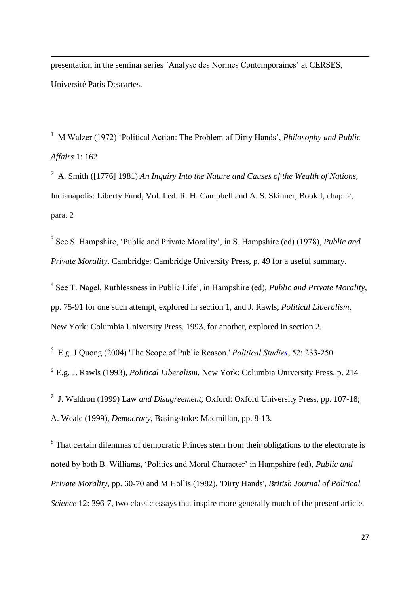presentation in the seminar series `Analyse des Normes Contemporaines' at CERSES, Université Paris Descartes.

1

<sup>1</sup> M Walzer (1972) 'Political Action: The Problem of Dirty Hands', *Philosophy and Public Affairs* 1: 162

<sup>2</sup> A. Smith ([1776] 1981) An Inquiry Into the Nature and Causes of the Wealth of Nations, Indianapolis: Liberty Fund, Vol. I ed. R. H. Campbell and A. S. Skinner, Book I, chap. 2, para. 2

3 See S. Hampshire, 'Public and Private Morality', in S. Hampshire (ed) (1978), *Public and Private Morality*, Cambridge: Cambridge University Press, p. 49 for a useful summary.

4 See T. Nagel, Ruthlessness in Public Life', in Hampshire (ed), *Public and Private Morality*, pp. 75-91 for one such attempt, explored in section 1, and J. Rawls, *Political Liberalism*, New York: Columbia University Press, 1993, for another, explored in section 2.

5 E.g. J Quong (2004) 'The Scope of Public Reason.' *[Political Studies](http://www.blackwellpublishing.com/journal.asp?ref=0032-3217)*, 52: 233-250

6 E.g. J. Rawls (1993), *Political Liberalism*, New York: Columbia University Press, p. 214

7 J. Waldron (1999) Law *and Disagreement*, Oxford: Oxford University Press, pp. 107-18; A. Weale (1999), *Democracy*, Basingstoke: Macmillan, pp. 8-13.

<sup>8</sup> That certain dilemmas of democratic Princes stem from their obligations to the electorate is noted by both B. Williams, 'Politics and Moral Character' in Hampshire (ed), *Public and Private Morality*, pp. 60-70 and M Hollis (1982), 'Dirty Hands', *British Journal of Political Science* 12: 396-7, two classic essays that inspire more generally much of the present article.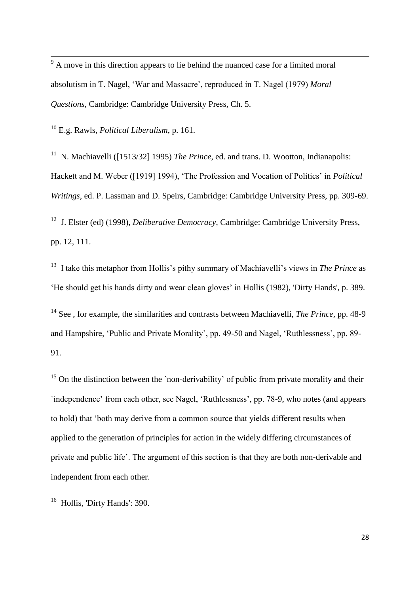$9<sup>9</sup>$  A move in this direction appears to lie behind the nuanced case for a limited moral absolutism in T. Nagel, 'War and Massacre', reproduced in T. Nagel (1979) *Moral Questions*, Cambridge: Cambridge University Press, Ch. 5.

<sup>10</sup> E.g. Rawls, *Political Liberalism*, p. 161.

1

<sup>11</sup> N. Machiavelli ([1513/32] 1995) *The Prince*, ed. and trans. D. Wootton, Indianapolis: Hackett and M. Weber ([1919] 1994), 'The Profession and Vocation of Politics' in *Political Writings*, ed. P. Lassman and D. Speirs, Cambridge: Cambridge University Press, pp. 309-69.

<sup>12</sup> J. Elster (ed) (1998), *Deliberative Democracy*, Cambridge: Cambridge University Press, pp. 12, 111.

<sup>13</sup> I take this metaphor from Hollis's pithy summary of Machiavelli's views in *The Prince* as 'He should get his hands dirty and wear clean gloves' in Hollis (1982), 'Dirty Hands', p. 389.

<sup>14</sup> See , for example, the similarities and contrasts between Machiavelli, *The Prince*, pp. 48-9 and Hampshire, 'Public and Private Morality', pp. 49-50 and Nagel, 'Ruthlessness', pp. 89- 91.

 $15$  On the distinction between the `non-derivability' of public from private morality and their `independence' from each other, see Nagel, 'Ruthlessness', pp. 78-9, who notes (and appears to hold) that 'both may derive from a common source that yields different results when applied to the generation of principles for action in the widely differing circumstances of private and public life'. The argument of this section is that they are both non-derivable and independent from each other.

<sup>16</sup> Hollis, 'Dirty Hands': 390.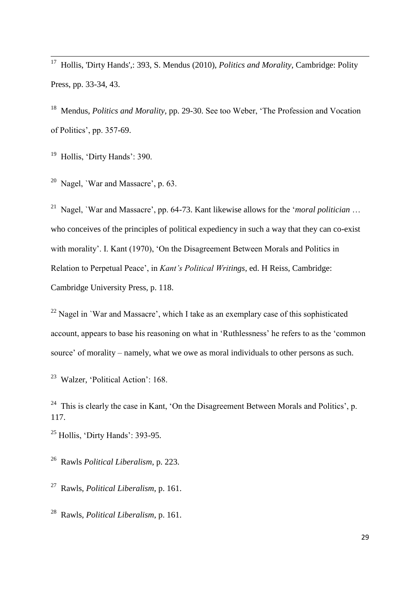17 Hollis, 'Dirty Hands',: 393, S. Mendus (2010), *Politics and Morality*, Cambridge: Polity Press, pp. 33-34, 43.

<sup>18</sup> Mendus, *Politics and Morality*, pp. 29-30. See too Weber, 'The Profession and Vocation of Politics', pp. 357-69.

<sup>19</sup> Hollis, 'Dirty Hands': 390.

 $20$  Nagel, `War and Massacre', p. 63.

21 Nagel, `War and Massacre', pp. 64-73. Kant likewise allows for the '*moral politician* … who conceives of the principles of political expediency in such a way that they can co-exist with morality'. I. Kant (1970), 'On the Disagreement Between Morals and Politics in Relation to Perpetual Peace', in *Kant's Political Writings*, ed. H Reiss, Cambridge: Cambridge University Press, p. 118.

 $22$  Nagel in `War and Massacre', which I take as an exemplary case of this sophisticated account, appears to base his reasoning on what in 'Ruthlessness' he refers to as the 'common source' of morality – namely, what we owe as moral individuals to other persons as such.

<sup>23</sup> Walzer, 'Political Action': 168.

<sup>24</sup> This is clearly the case in Kant, 'On the Disagreement Between Morals and Politics', p. 117.

 $25$  Hollis, 'Dirty Hands': 393-95.

26 Rawls *Political Liberalism*, p. 223.

27 Rawls, *Political Liberalism*, p. 161.

28 Rawls, *Political Liberalism*, p. 161.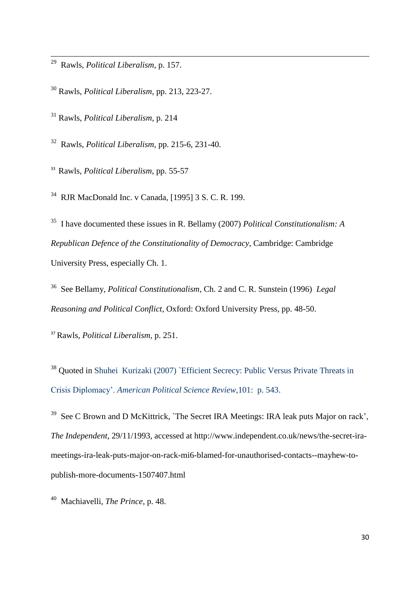29 Rawls, *Political Liberalism*, p. 157.

<sup>30</sup> Rawls, *Political Liberalism*, pp. 213, 223-27.

<sup>31</sup> Rawls, *Political Liberalism*, p. 214

32 Rawls, *Political Liberalism*, pp. 215-6, 231-40.

33 Rawls, *Political Liberalism*, pp. 55-57

34 RJR MacDonald Inc. v Canada, [1995] 3 S. C. R. 199.

35 I have documented these issues in R. Bellamy (2007) *Political Constitutionalism: A Republican Defence of the Constitutionality of Democracy*, Cambridge: Cambridge University Press, especially Ch. 1.

36 See Bellamy, *Political Constitutionalism*, Ch. 2 and C. R. Sunstein (1996) *Legal Reasoning and Political Conflict*, Oxford: Oxford University Press, pp. 48-50.

<sup>37</sup> Rawls, *Political Liberalism*, p. 251.

<sup>38</sup> Quoted in Shuhei Kurizaki (2007) `Efficient Secrecy: Public Versus Private Threats in Crisis Diplomacy'. *American Political Science Review*,101: p. 543.

 $39$  See C Brown and D McKittrick, `The Secret IRA Meetings: IRA leak puts Major on rack', *The Independent*, 29/11/1993, accessed at http://www.independent.co.uk/news/the-secret-irameetings-ira-leak-puts-major-on-rack-mi6-blamed-for-unauthorised-contacts--mayhew-topublish-more-documents-1507407.html

40 Machiavelli, *The Prince*, p. 48.